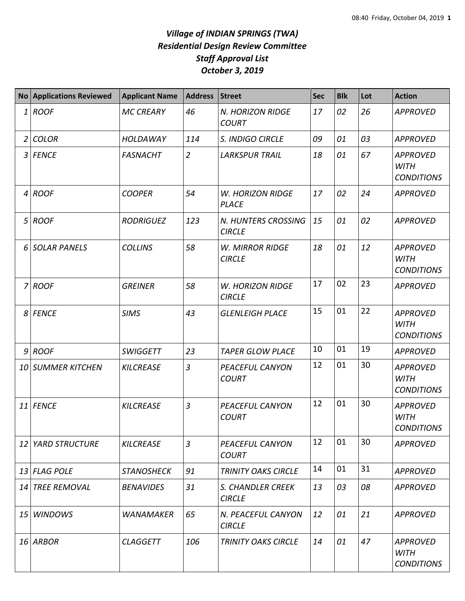## *Village of INDIAN SPRINGS (TWA) Residential Design Review Committee Staff Approval List October 3, 2019*

| <b>No</b>      | <b>Applications Reviewed</b> | <b>Applicant Name</b> | <b>Address</b> | <b>Street</b>                            | <b>Sec</b> | <b>Blk</b> | Lot | <b>Action</b>                                       |
|----------------|------------------------------|-----------------------|----------------|------------------------------------------|------------|------------|-----|-----------------------------------------------------|
| $1\vert$       | <b>ROOF</b>                  | <b>MC CREARY</b>      | 46             | N. HORIZON RIDGE<br><b>COURT</b>         | 17         | 02         | 26  | <b>APPROVED</b>                                     |
| $\overline{2}$ | <b>COLOR</b>                 | <b>HOLDAWAY</b>       | 114            | S. INDIGO CIRCLE                         | 09         | 01         | 03  | <b>APPROVED</b>                                     |
| $\mathfrak{Z}$ | <b>FENCE</b>                 | <b>FASNACHT</b>       | $\overline{2}$ | <b>LARKSPUR TRAIL</b>                    | 18         | 01         | 67  | <b>APPROVED</b><br><b>WITH</b><br><b>CONDITIONS</b> |
| $\overline{4}$ | <b>ROOF</b>                  | <b>COOPER</b>         | 54             | <b>W. HORIZON RIDGE</b><br><b>PLACE</b>  | 17         | 02         | 24  | <b>APPROVED</b>                                     |
| 5 <sup>1</sup> | <b>ROOF</b>                  | <b>RODRIGUEZ</b>      | 123            | N. HUNTERS CROSSING<br><b>CIRCLE</b>     | 15         | 01         | 02  | <b>APPROVED</b>                                     |
| 6              | <b>SOLAR PANELS</b>          | <b>COLLINS</b>        | 58             | <b>W. MIRROR RIDGE</b><br><b>CIRCLE</b>  | 18         | 01         | 12  | <b>APPROVED</b><br><b>WITH</b><br><b>CONDITIONS</b> |
|                | $7$ ROOF                     | <b>GREINER</b>        | 58             | <b>W. HORIZON RIDGE</b><br><b>CIRCLE</b> | 17         | 02         | 23  | <b>APPROVED</b>                                     |
| 8 <sup>1</sup> | <b>FENCE</b>                 | <b>SIMS</b>           | 43             | <b>GLENLEIGH PLACE</b>                   | 15         | 01         | 22  | <b>APPROVED</b><br><b>WITH</b><br><b>CONDITIONS</b> |
| 9              | <b>ROOF</b>                  | <b>SWIGGETT</b>       | 23             | <b>TAPER GLOW PLACE</b>                  | 10         | 01         | 19  | <b>APPROVED</b>                                     |
|                | <b>10 SUMMER KITCHEN</b>     | <b>KILCREASE</b>      | $\overline{3}$ | PEACEFUL CANYON<br><b>COURT</b>          | 12         | 01         | 30  | <b>APPROVED</b><br><b>WITH</b><br><b>CONDITIONS</b> |
| 11             | <b>FENCE</b>                 | <b>KILCREASE</b>      | $\overline{3}$ | <b>PEACEFUL CANYON</b><br><b>COURT</b>   | 12         | 01         | 30  | <b>APPROVED</b><br><b>WITH</b><br><b>CONDITIONS</b> |
| 12             | <b>YARD STRUCTURE</b>        | <b>KILCREASE</b>      | $\overline{3}$ | PEACEFUL CANYON<br><b>COURT</b>          | 12         | 01         | 30  | <b>APPROVED</b>                                     |
|                | 13 FLAG POLE                 | <b>STANOSHECK</b>     | 91             | <b>TRINITY OAKS CIRCLE</b>               | 14         | 01         | 31  | <b>APPROVED</b>                                     |
|                | 14 TREE REMOVAL              | <b>BENAVIDES</b>      | 31             | S. CHANDLER CREEK<br><b>CIRCLE</b>       | 13         | 03         | 08  | <b>APPROVED</b>                                     |
| 15             | <b>WINDOWS</b>               | <b>WANAMAKER</b>      | 65             | N. PEACEFUL CANYON<br><b>CIRCLE</b>      | 12         | 01         | 21  | <b>APPROVED</b>                                     |
|                | 16 ARBOR                     | <b>CLAGGETT</b>       | 106            | <b>TRINITY OAKS CIRCLE</b>               | 14         | 01         | 47  | <b>APPROVED</b><br><b>WITH</b><br><b>CONDITIONS</b> |